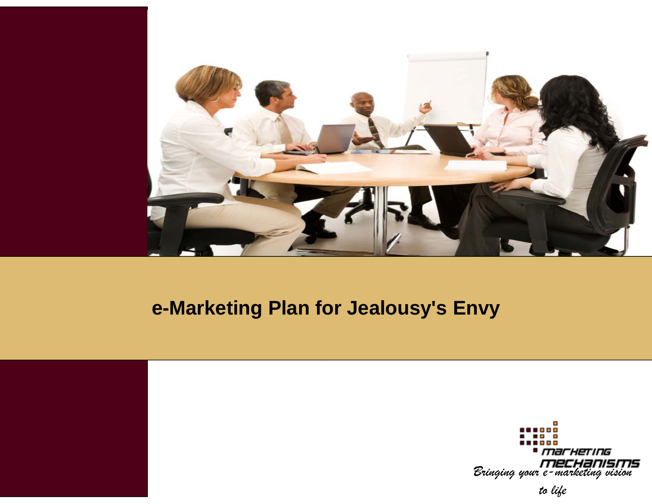

#### **e-Marketing Plan fo Marketing for Jealousy or s' Envy**



*to life*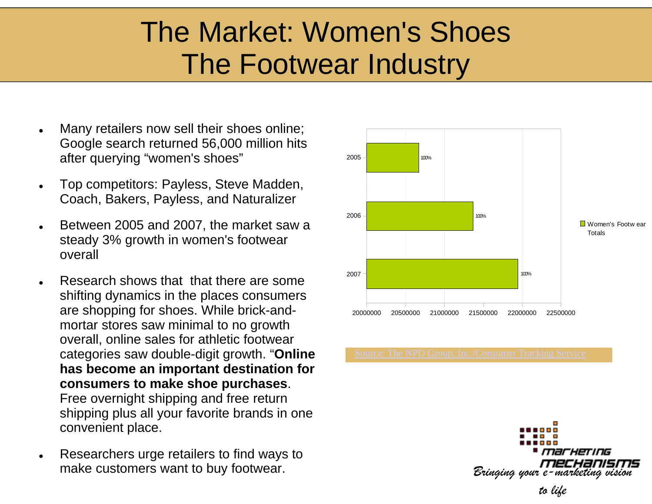### The Market: Women's Shoes The Footwear Industry

- $\bullet$  Many retailers now sell their shoes online; Google search returned 56,000 million hits after querying "women's shoes"
- $\bullet$ Top competitors: Payless, Steve Madden, Coach, Bakers, Payless, and Naturalizer
- 0 Between 2005 and 2007, the market saw a steady 3% growth in women's footwear overall
- 0 Research shows that that there are some shifting dynamics in the places consumers are shopping for shoes. While brick-andmortar stores saw minimal to no growth overall, online sales for athletic footwear categories saw double-digit growth. "**Online has become an important destination for consumers to make shoe purchases**. Free overnight shipping and free return shipping plus all your favorite brands in one convenient place.
- $\bullet$  Researchers urge retailers to find ways to make customers want to buy footwear.



-HETING *Bringing your e-marketing vision*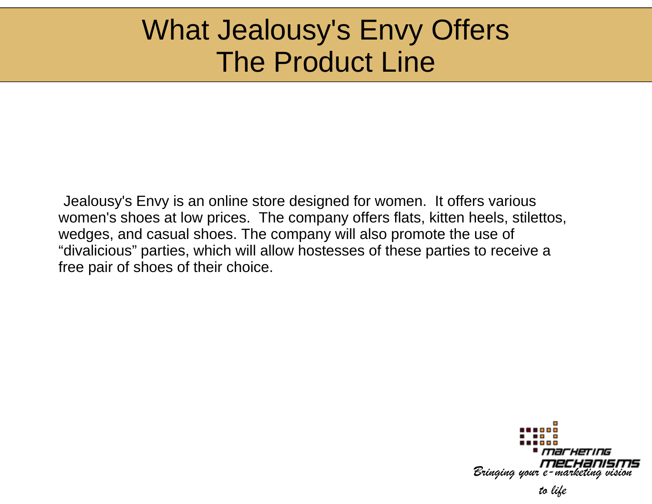#### What Jealousy's Envy Offers The Product Line

Jealousy's Envy is an online store designed for women. It offers various women's shoes at low prices. The company offers flats, kitten heels, stilettos, wedges, and casual shoes. The company will also promote the use of "divalicious" parties, which will allow hostesses of these parties to receive a free pair of shoes of their choice.

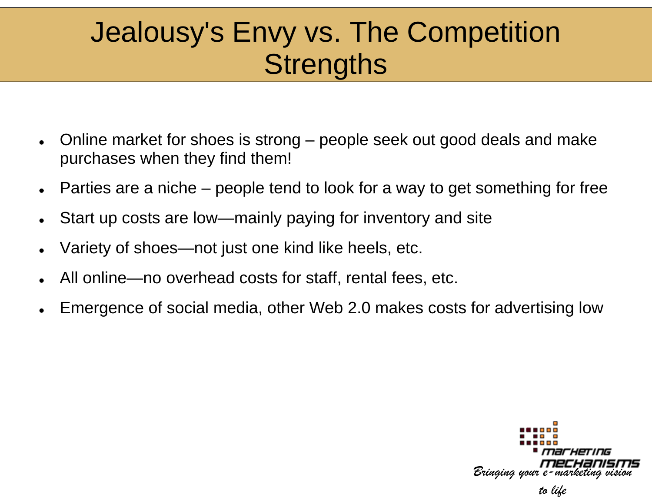## Jealousy's Envy vs. The Competition Strengths

- $\bullet$ • Online market for shoes is strong – people seek out good deals and make purchases when they find them!
- $\bullet$  $\bullet$  Parties are a niche – people tend to look for a way to get something for free
- $\bullet$ Start up costs are low—mainly payin g for inventory and site
- $\bullet$ • Variety of shoes—not just one kind like heels, etc.
- 0 • All online—no overhead costs for staff, rental fees, etc.
- 0 • Emergence of social media, other Web 2.0 makes costs for advertising low

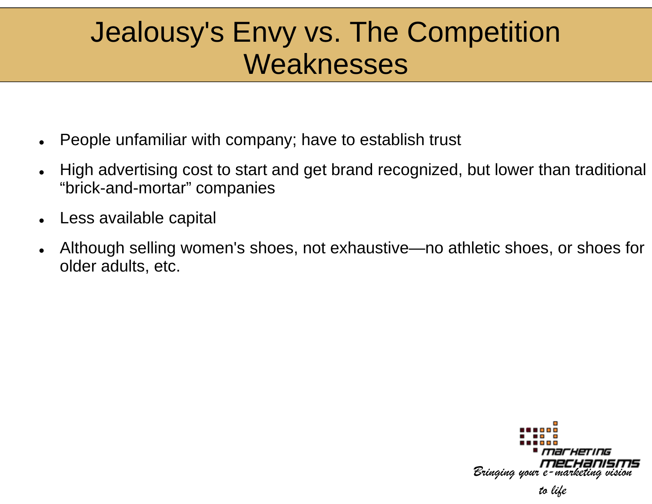#### Jealousy's Envy vs. The Competition Weaknesses

- $\bullet$ • People unfamiliar with company; have to establish trust
- $\bullet$ • High advertising cost to start and get brand recognized, but lower than traditional "brick-and-mortar" companies
- $\bullet$ Less available capital
- $\bullet$ • Although selling women's shoes, not exhaustive—no athletic shoes, or shoes for older adults, etc.

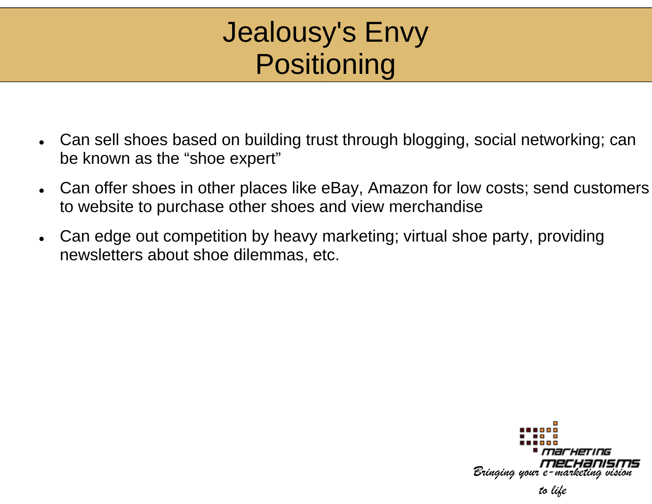### Jealousy's Envy Positi oning

- $\bullet$ • Can sell shoes based on building trust through blogging, social networking; can be known as the "shoe expert"
- $\bullet$ • Can offer shoes in other places like eBay, Amazon for low costs; send customers to website to purchase other shoes and view merchandise
- $\bullet$ • Can edge out competition by heavy marketing; virtual shoe party, providing newsletters about shoe dilemmas, etc.

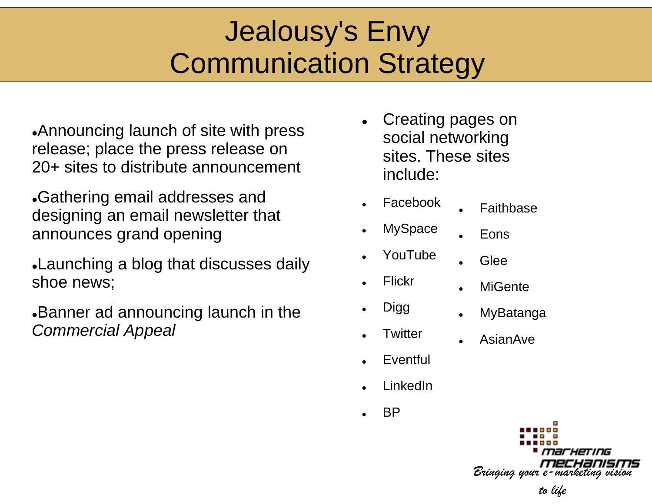# Jealousy's Envy Communication Strategy

 $\bullet$ Announcing launch of site with press release; place the press release on 20+ sites to distribute announcement

Gathering email addresses and designing an email newsletter that announces grand opening

Launching a blog that discusses daily shoe news;

**Banner ad announcing launch in the** *Commercial Appeal*

- 0 Creating pages on social networking sites. These sites include:
	- Facebook 0 Faithbase

0

0

0

- . **MySpace**
- 0 Eons

Glee

- YouTube
- . Flickr

.

.

- . **Digg**
- . **Twitter**
- MyBatanga gg 0

AsianAve

**MiGente** 

- $\bullet$ Eventful
- $\bullet$ LinkedIn
- $\bullet$ BP

*Bringing your e-marketing vision* 

#### *to life*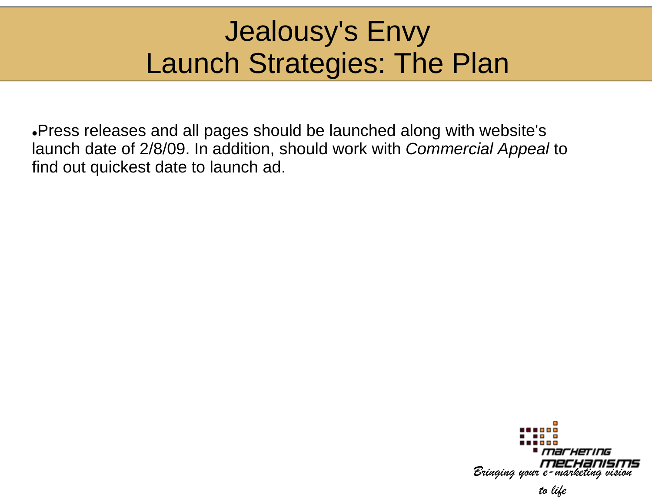## Jealousy's Envy Launch Strategies: The Plan

 $\bullet$ Press releases and all pages should be launched along with website's launch date of 2/8/09. In addition, should work with *Commercial Appeal* to find out quickest date to launch ad.

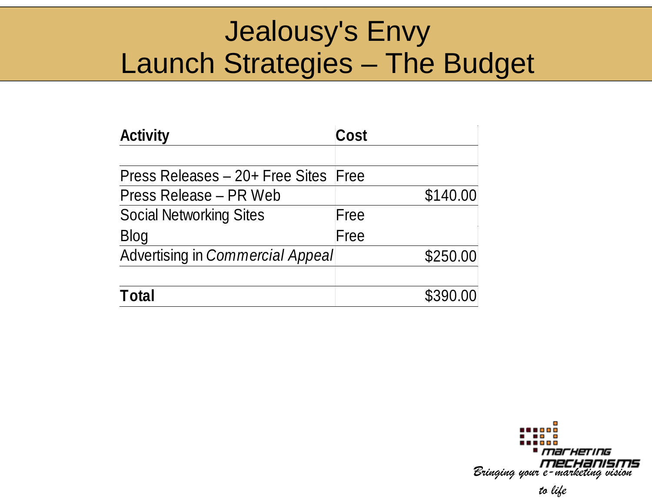#### Jealousy's Envy Launch Strategies – The Budget

| <b>Activity</b>                      | Cost     |
|--------------------------------------|----------|
| Press Releases – 20+ Free Sites Free |          |
| Press Release – PR Web               | \$140.00 |
| <b>Social Networking Sites</b>       | Free     |
| Blog                                 | Free     |
| Advertising in Commercial Appeal     | \$250.00 |
|                                      |          |
| Total                                | \$390.00 |

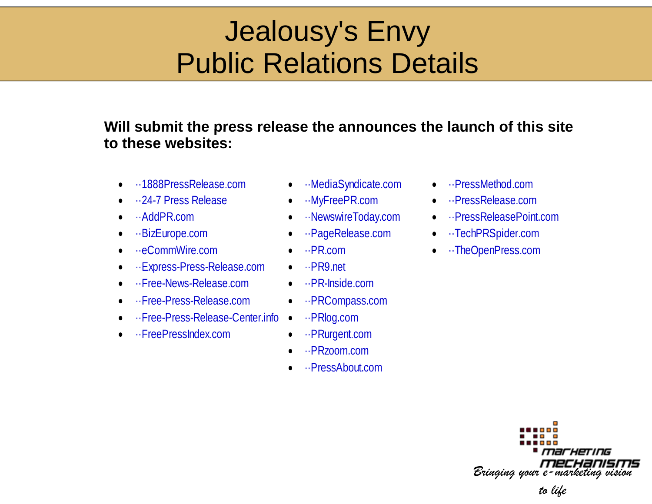## Jealousy's Envy Public Relations Details

#### Will submit the press release the announces the launch of this site **to these websites:**

- $\bullet$ ··1888PressRelease.com
- 0 ··24-7 Press Release
- 0 ··AddPR.com
- 0
- 0 • ··eCommWire.com • ··PR.
- $\bullet$  $\cdot$ ·Express-Press-Release.com
- 0 ··Free-News-Release.com
- 0 ··Free-Press-Release.com
- 0 •·Free-Press-Release-Center.info
- 0 ··FreePressIndex.com
- ··Med y
- e **•** ··MyFreePR.com
	- ··NewswireToday.com
- ··BizEurope.com ··Pag
	- $\bullet$  ... PR.com
	- ·· PR9.net
	- m ··PR-Inside.com
	- m ··PRCompass.com
		- o ··PRlog.com
	- m ··PRurgent.com
		- 0 ··PRzzoom.com
		- 0 ··PressAbout.com
- ··PressMethod.com
- ··PressRelease.com
- ··PressReleasePoint.com
- ··TechPRSpider.com
- ··TheOpenPress.com

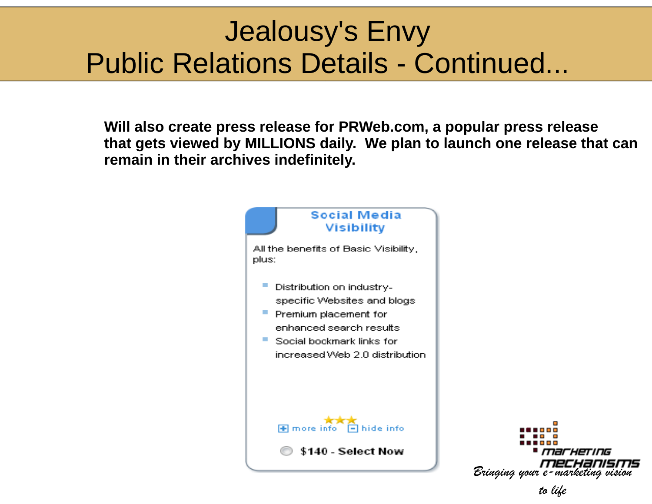## Jealousy's Envy Public Relations Details - Continued...

Will also create press release for PRWeb.com, a popular press release **that gets viewed by MILLIONS d daily. We plan to launch one release that can remain in their archives indefini itely.**

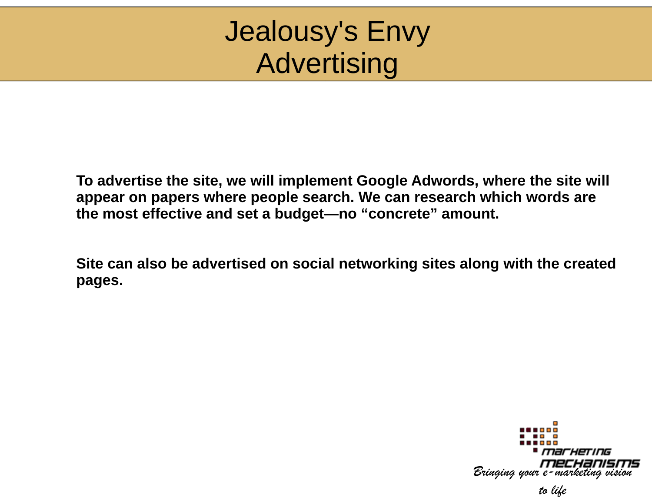#### Jealousy's Envy Advertising

To advertise the site, we will implement Google Adwords, where the site will appear on papers where people search. We can research which words are **the most effective and set a budget— —no "concrete" amount.**

Site can also be advertised on social networking sites along with the created **pages.**

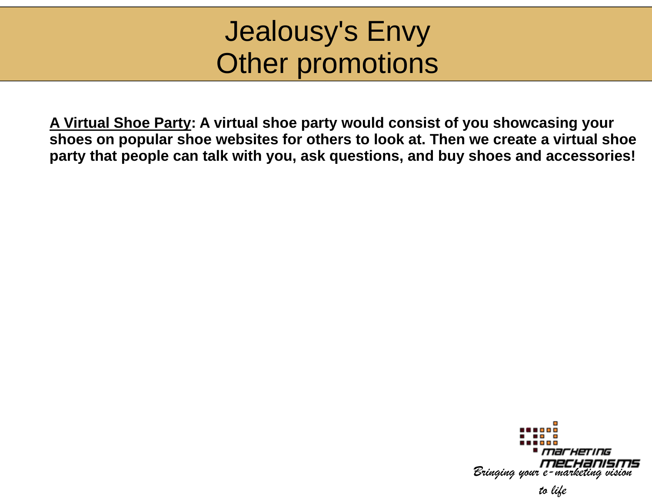#### Jealousy's Envy Other promotions

**A Virtual Shoe Party: A virtual shoe part ty y gy would consist of you showcasing your shoes on popular shoe websites for oth hers to look at. Then we create a virtual shoe party that people can talk with you, ask questions, and buy shoes and accessories!**

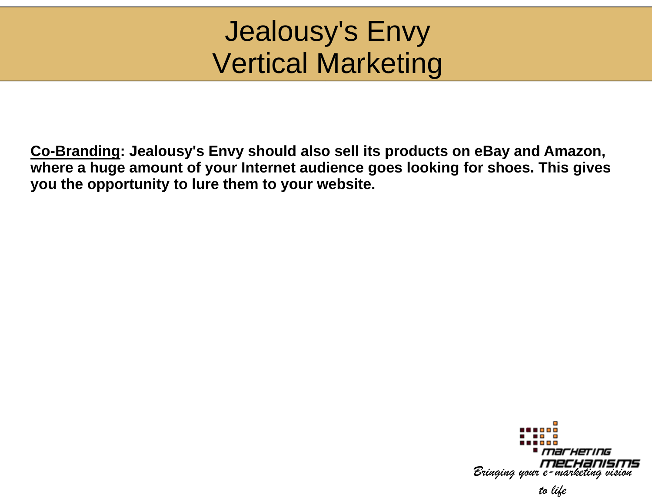## Jealousy's Envy Vertical Marketing

Co-Branding: Jealousy's Envy should also sell its products on eBay and Amazon, **where a huge amount of your Internet aud ience goes looking for shoes. This gives y pp y y ou the opportunity to lure them to your w website.**

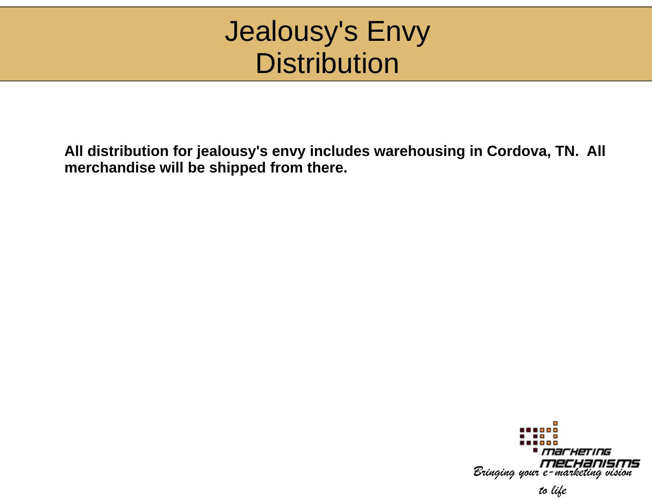#### Jealousy's Envy Distrib bution

All distribution for jealousy's envy includes warehousing in Cordova, TN. All **merchandise will be shipped from the ere.** 

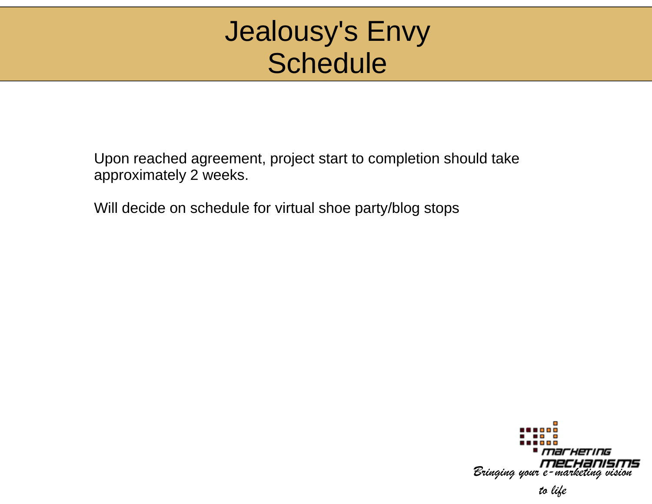#### Jealousy's Envy Schedule

Upon reached agreement, project start to completion should take approximately 2 weeks.

Will decide on schedule for virtual s hoe party/blog stops

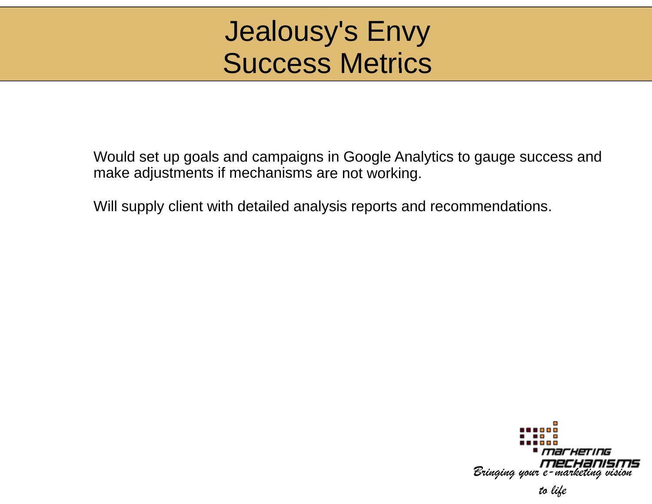#### Jealousy's Envy Success Metrics

Would set up goals and campaigns in Google Analytics to gauge success and make adjustments if mechanisms are not working.

Will supply client with detailed analysis reports and recommendations.